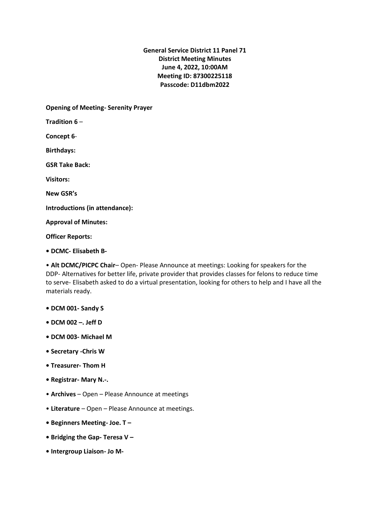**General Service District 11 Panel 71 District Meeting Minutes June 4, 2022, 10:00AM Meeting ID: 87300225118 Passcode: D11dbm2022**

**Opening of Meeting- Serenity Prayer** 

**Tradition 6** –

**Concept 6**-

**Birthdays:**

**GSR Take Back:**

**Visitors:**

**New GSR's**

**Introductions (in attendance):**

**Approval of Minutes:**

**Officer Reports:**

**• DCMC- Elisabeth B-**

• **Alt DCMC/PICPC Chair**– Open- Please Announce at meetings: Looking for speakers for the DDP- Alternatives for better life, private provider that provides classes for felons to reduce time to serve- Elisabeth asked to do a virtual presentation, looking for others to help and I have all the materials ready.

- **DCM 001- Sandy S**
- **DCM 002 –. Jeff D**
- **DCM 003- Michael M**
- **Secretary -Chris W**
- **Treasurer- Thom H**
- **Registrar- Mary N.-.**
- **Archives**  Open Please Announce at meetings
- **Literature** Open Please Announce at meetings.
- **Beginners Meeting- Joe. T –**
- **Bridging the Gap- Teresa V –**
- **Intergroup Liaison- Jo M-**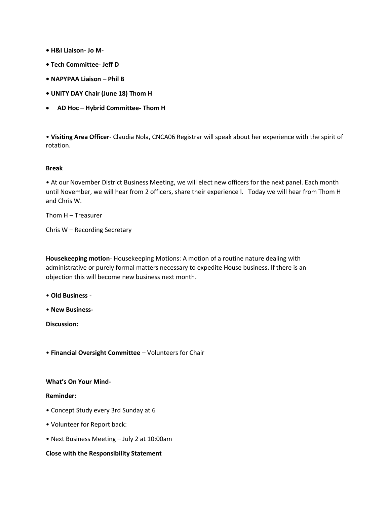- **H&I Liaison- Jo M-**
- **Tech Committee- Jeff D**
- **NAPYPAA Liaison – Phil B**
- **UNITY DAY Chair (June 18) Thom H**
- **AD Hoc – Hybrid Committee- Thom H**

• **Visiting Area Officer**- Claudia Nola, CNCA06 Registrar will speak about her experience with the spirit of rotation.

## **Break**

• At our November District Business Meeting, we will elect new officers for the next panel. Each month until November, we will hear from 2 officers, share their experience l. Today we will hear from Thom H and Chris W.

Thom H – Treasurer

Chris W – Recording Secretary

**Housekeeping motion**- Housekeeping Motions: A motion of a routine nature dealing with administrative or purely formal matters necessary to expedite House business. If there is an objection this will become new business next month.

- **Old Business -**
- **New Business-**

**Discussion:**

• **Financial Oversight Committee** – Volunteers for Chair

## **What's On Your Mind-**

## **Reminder:**

- Concept Study every 3rd Sunday at 6
- Volunteer for Report back:
- Next Business Meeting July 2 at 10:00am

## **Close with the Responsibility Statement**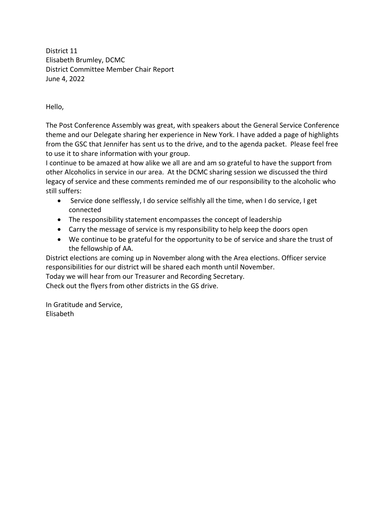District 11 Elisabeth Brumley, DCMC District Committee Member Chair Report June 4, 2022

Hello,

The Post Conference Assembly was great, with speakers about the General Service Conference theme and our Delegate sharing her experience in New York. I have added a page of highlights from the GSC that Jennifer has sent us to the drive, and to the agenda packet. Please feel free to use it to share information with your group.

I continue to be amazed at how alike we all are and am so grateful to have the support from other Alcoholics in service in our area. At the DCMC sharing session we discussed the third legacy of service and these comments reminded me of our responsibility to the alcoholic who still suffers:

- Service done selflessly, I do service selfishly all the time, when I do service, I get connected
- The responsibility statement encompasses the concept of leadership
- Carry the message of service is my responsibility to help keep the doors open
- We continue to be grateful for the opportunity to be of service and share the trust of the fellowship of AA.

District elections are coming up in November along with the Area elections. Officer service responsibilities for our district will be shared each month until November.

Today we will hear from our Treasurer and Recording Secretary.

Check out the flyers from other districts in the GS drive.

In Gratitude and Service, Elisabeth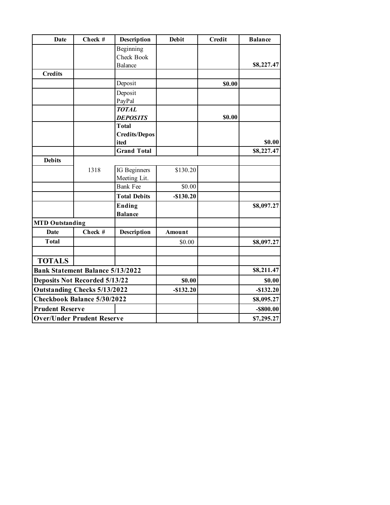| Date                                    | Check # | <b>Description</b>   | <b>Debit</b> | <b>Credit</b> | <b>Balance</b> |
|-----------------------------------------|---------|----------------------|--------------|---------------|----------------|
|                                         |         | Beginning            |              |               |                |
|                                         |         | Check Book           |              |               |                |
|                                         |         | Balance              |              |               | \$8,227.47     |
| <b>Credits</b>                          |         |                      |              |               |                |
|                                         |         | Deposit              |              | \$0.00        |                |
|                                         |         | Deposit              |              |               |                |
|                                         |         | PayPal               |              |               |                |
|                                         |         | <b>TOTAL</b>         |              |               |                |
|                                         |         | <b>DEPOSITS</b>      |              | \$0.00        |                |
|                                         |         | <b>Total</b>         |              |               |                |
|                                         |         | <b>Credits/Depos</b> |              |               |                |
|                                         |         | ited                 |              |               | \$0.00         |
|                                         |         | <b>Grand Total</b>   |              |               | \$8,227.47     |
| <b>Debits</b>                           |         |                      |              |               |                |
|                                         | 1318    | IG Beginners         | \$130.20     |               |                |
|                                         |         | Meeting Lit.         |              |               |                |
|                                         |         | <b>Bank Fee</b>      | \$0.00       |               |                |
|                                         |         | <b>Total Debits</b>  | $-$130.20$   |               |                |
|                                         |         | <b>Ending</b>        |              |               | \$8,097.27     |
|                                         |         | <b>Balance</b>       |              |               |                |
| <b>MTD Outstanding</b>                  |         |                      |              |               |                |
| <b>Date</b>                             | Check # | Description          | Amount       |               |                |
| <b>Total</b>                            |         |                      | \$0.00       |               | \$8,097.27     |
|                                         |         |                      |              |               |                |
| <b>TOTALS</b>                           |         |                      |              |               |                |
| <b>Bank Statement Balance 5/13/2022</b> |         |                      |              |               | \$8,211.47     |
| <b>Deposits Not Recorded 5/13/22</b>    |         |                      | \$0.00       |               | \$0.00         |
| <b>Outstanding Checks 5/13/2022</b>     |         |                      | $-$132.20$   |               | $-$132.20$     |
| Checkbook Balance 5/30/2022             |         |                      |              |               | \$8,095.27     |
| <b>Prudent Reserve</b>                  |         |                      |              |               | $-$ \$800.00   |
| <b>Over/Under Prudent Reserve</b>       |         |                      |              |               | \$7,295.27     |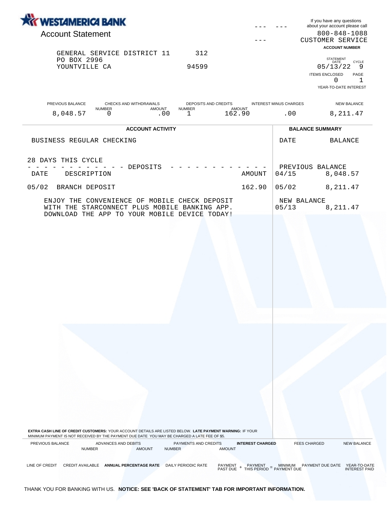| <b><i>KY WESTAMERICA BANK</i></b>                                            |                                                 |                               | If you have any questions<br>about your account please call |
|------------------------------------------------------------------------------|-------------------------------------------------|-------------------------------|-------------------------------------------------------------|
| <b>Account Statement</b>                                                     |                                                 |                               | $800 - 848 - 1088$                                          |
|                                                                              |                                                 |                               | CUSTOMER SERVICE                                            |
|                                                                              |                                                 |                               | <b>ACCOUNT NUMBER</b>                                       |
| GENERAL SERVICE DISTRICT 11                                                  | 312                                             |                               | <b>STATEMENT</b>                                            |
| PO BOX 2996<br>YOUNTVILLE CA                                                 | 94599                                           |                               | DATE<br><b>CYCLE</b><br>05/13/22<br>9                       |
|                                                                              |                                                 |                               | <b>ITEMS ENCLOSED</b><br>PAGE                               |
|                                                                              |                                                 |                               | 0                                                           |
|                                                                              |                                                 |                               | YEAR-TO-DATE INTEREST                                       |
| PREVIOUS BALANCE<br>CHECKS AND WITHDRAWALS<br><b>AMOUNT</b><br><b>NUMBER</b> | <b>DEPOSITS AND CREDITS</b><br>AMOUNT<br>NUMBER | <b>INTEREST MINUS CHARGES</b> | <b>NEW BALANCE</b>                                          |
| 8,048.57<br>.00<br>0                                                         | 162.90                                          | .00                           | 8,211.47                                                    |

w

|                            | <b>ACCOUNT ACTIVITY</b>                                                                                                                                                                                                                                                                                                                                                                                                                                                                                                           |        | <b>BALANCE SUMMARY</b>    |          |  |
|----------------------------|-----------------------------------------------------------------------------------------------------------------------------------------------------------------------------------------------------------------------------------------------------------------------------------------------------------------------------------------------------------------------------------------------------------------------------------------------------------------------------------------------------------------------------------|--------|---------------------------|----------|--|
| BUSINESS REGULAR CHECKING  |                                                                                                                                                                                                                                                                                                                                                                                                                                                                                                                                   |        | DATE                      | BALANCE  |  |
| 28 DAYS THIS CYCLE<br>DATE | DEPOSITS<br>$\mathcal{L} = \mathcal{L} \times \mathcal{L} = \mathcal{L} \times \mathcal{L} = \mathcal{L} \times \mathcal{L} = \mathcal{L} \times \mathcal{L} = \mathcal{L} \times \mathcal{L} = \mathcal{L} \times \mathcal{L} = \mathcal{L} \times \mathcal{L} = \mathcal{L} \times \mathcal{L} = \mathcal{L} \times \mathcal{L} = \mathcal{L} \times \mathcal{L} = \mathcal{L} \times \mathcal{L} = \mathcal{L} \times \mathcal{L} = \mathcal{L} \times \mathcal{L} = \mathcal{L} \times \mathcal{L} = \mathcal$<br>DESCRIPTION | AMOUNT | PREVIOUS BALANCE<br>04/15 | 8,048.57 |  |
| 05/02<br>BRANCH DEPOSIT    |                                                                                                                                                                                                                                                                                                                                                                                                                                                                                                                                   | 162.90 | 05/02                     | 8,211.47 |  |
|                            | ENJOY THE CONVENIENCE OF MOBILE CHECK DEPOSIT<br>WITH THE STARCONNECT PLUS MOBILE BANKING APP.<br>DOWNLOAD THE APP TO YOUR MOBILE DEVICE TODAY!                                                                                                                                                                                                                                                                                                                                                                                   |        | NEW BALANCE<br>05/13      | 8,211.47 |  |

**EXTRA CASH LINE OF CREDIT CUSTOMERS:** YOUR ACCOUNT DETAILS ARE LISTED BELOW. **LATE PAYMENT WARNING:** IF YOUR MINIMUM PAYMENT IS NOT RECEIVED BY THE PAYMENT DUE DATE YOU MAY BE CHARGED A LATE FEE OF \$5.

PREVIOUS BALANCE ADVANCES AND DEBITS PAYMENTS AND CREDITS **INTEREST CHARGED** FEES CHARGED NEW BALANCE NUMBER AMOUNT NUMBER AMOUNT

LINE OF CREDIT CREDIT AVAILABLE **ANNUAL PERCENTAGE RATE** DAILY PERIODIC RATE PAYMENT PAYMENT = MINIMUM PAYMENT DUE DATE YEAR-TO-DATE<br>PAST DUE + THIS PERIOD = PAYMENT DUE

THANK YOU FOR BANKING WITH US. **NOTICE: SEE 'BACK OF STATEMENT' TAB FOR IMPORTANT INFORMATION.**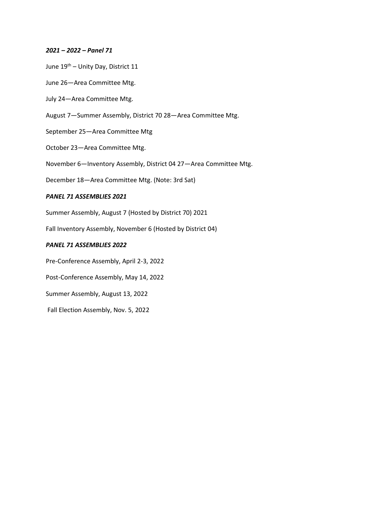## *2021 – 2022 – Panel 71*

- June 19th Unity Day, District 11
- June 26—Area Committee Mtg.
- July 24—Area Committee Mtg.
- August 7—Summer Assembly, District 70 28—Area Committee Mtg.
- September 25—Area Committee Mtg
- October 23—Area Committee Mtg.
- November 6—Inventory Assembly, District 04 27—Area Committee Mtg.
- December 18—Area Committee Mtg. (Note: 3rd Sat)

## *PANEL 71 ASSEMBLIES 2021*

Summer Assembly, August 7 (Hosted by District 70) 2021

Fall Inventory Assembly, November 6 (Hosted by District 04)

## *PANEL 71 ASSEMBLIES 2022*

- Pre-Conference Assembly, April 2-3, 2022
- Post-Conference Assembly, May 14, 2022
- Summer Assembly, August 13, 2022
- Fall Election Assembly, Nov. 5, 2022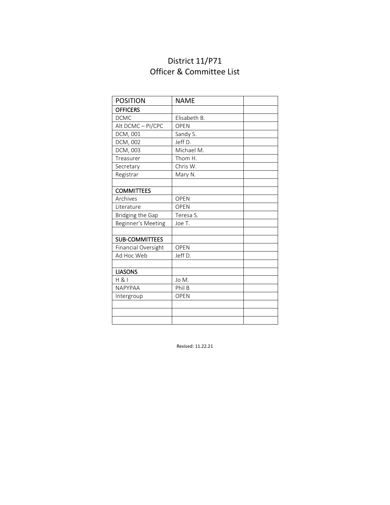## District 11/P71 Officer & Committee List

| <b>POSITION</b>       | <b>NAME</b>  |  |
|-----------------------|--------------|--|
| <b>OFFICERS</b>       |              |  |
| <b>DCMC</b>           | Elisabeth B. |  |
| Alt DCMC-PI/CPC       | <b>OPEN</b>  |  |
| DCM, 001              | Sandy S.     |  |
| DCM, 002              | Jeff D.      |  |
| DCM, 003              | Michael M.   |  |
| Treasurer             | Thom H.      |  |
| Secretary             | Chris W.     |  |
| Registrar             | Mary N.      |  |
|                       |              |  |
| <b>COMMITTEES</b>     |              |  |
| Archives              | <b>OPEN</b>  |  |
| Literature            | <b>OPEN</b>  |  |
| Bridging the Gap      | Teresa S.    |  |
| Beginner's Meeting    | Joe T.       |  |
|                       |              |  |
| <b>SUB-COMMITTEES</b> |              |  |
| Financial Oversight   | <b>OPEN</b>  |  |
| Ad Hoc Web            | Jeff D.      |  |
|                       |              |  |
| <b>LIASONS</b>        |              |  |
| H 81                  | Jo M.        |  |
| <b>NAPYPAA</b>        | Phil B       |  |
| Intergroup            | <b>OPEN</b>  |  |
|                       |              |  |
|                       |              |  |
|                       |              |  |

Revised: 11.22.21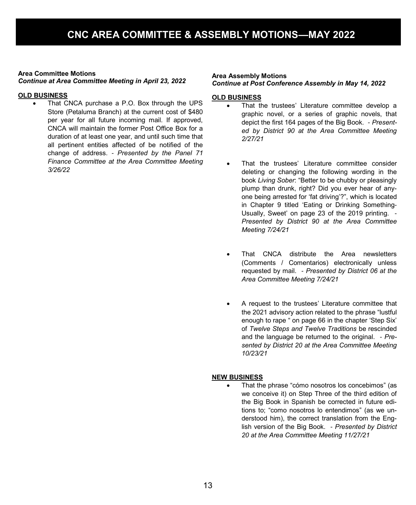### **Area Committee Motions**

*Continue at Area Committee Meeting in April 23, 2022*

### **OLD BUSINESS**

• That CNCA purchase a P.O. Box through the UPS Store (Petaluma Branch) at the current cost of \$480 per year for all future incoming mail. If approved, CNCA will maintain the former Post Office Box for a duration of at least one year, and until such time that all pertinent entities affected of be notified of the change of address. *- Presented by the Panel 71 Finance Committee at the Area Committee Meeting 3/26/22*

#### **Area Assembly Motions** *Continue at Post Conference Assembly in May 14, 2022*

### **OLD BUSINESS**

- That the trustees' Literature committee develop a graphic novel, or a series of graphic novels, that depict the first 164 pages of the Big Book. - *Presented by District 90 at the Area Committee Meeting 2/27/21*
- That the trustees' Literature committee consider deleting or changing the following wording in the book *Living Sober*: "Better to be chubby or pleasingly plump than drunk, right? Did you ever hear of anyone being arrested for 'fat driving'?", which is located in Chapter 9 titled 'Eating or Drinking Something-Usually, Sweet' on page 23 of the 2019 printing. - *Presented by District 90 at the Area Committee Meeting 7/24/21*
- That CNCA distribute the Area newsletters (Comments / Comentarios) electronically unless requested by mail. *- Presented by District 06 at the Area Committee Meeting 7/24/21*
- A request to the trustees' Literature committee that the 2021 advisory action related to the phrase "lustful enough to rape " on page 66 in the chapter 'Step Six' of *Twelve Steps and Twelve Traditions* be rescinded and the language be returned to the original. - *Presented by District 20 at the Area Committee Meeting 10/23/21*

### **NEW BUSINESS**

• That the phrase "cómo nosotros los concebimos" (as we conceive it) on Step Three of the third edition of the Big Book in Spanish be corrected in future editions to; "como nosotros lo entendimos" (as we understood him), the correct translation from the English version of the Big Book. *- Presented by District 20 at the Area Committee Meeting 11/27/21*